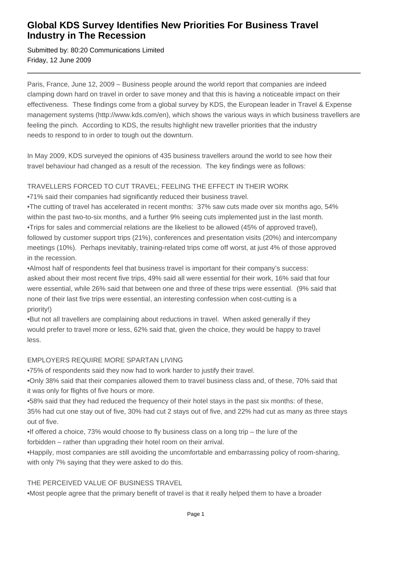## **Global KDS Survey Identifies New Priorities For Business Travel Industry in The Recession**

Submitted by: 80:20 Communications Limited Friday, 12 June 2009

Paris, France, June 12, 2009 – Business people around the world report that companies are indeed clamping down hard on travel in order to save money and that this is having a noticeable impact on their effectiveness. These findings come from a global survey by KDS, the European leader in Travel & Expense management systems (http://www.kds.com/en), which shows the various ways in which business travellers are feeling the pinch. According to KDS, the results highlight new traveller priorities that the industry needs to respond to in order to tough out the downturn.

In May 2009, KDS surveyed the opinions of 435 business travellers around the world to see how their travel behaviour had changed as a result of the recession. The key findings were as follows:

### TRAVELLERS FORCED TO CUT TRAVEL; FEELING THE EFFECT IN THEIR WORK

• 71% said their companies had significantly reduced their business travel.

• The cutting of travel has accelerated in recent months: 37% saw cuts made over six months ago, 54% within the past two-to-six months, and a further 9% seeing cuts implemented just in the last month.

• Trips for sales and commercial relations are the likeliest to be allowed (45% of approved travel), followed by customer support trips (21%), conferences and presentation visits (20%) and intercompany meetings (10%). Perhaps inevitably, training-related trips come off worst, at just 4% of those approved in the recession.

• Almost half of respondents feel that business travel is important for their company's success: asked about their most recent five trips, 49% said all were essential for their work, 16% said that four were essential, while 26% said that between one and three of these trips were essential. (9% said that none of their last five trips were essential, an interesting confession when cost-cutting is a priority!)

• But not all travellers are complaining about reductions in travel. When asked generally if they would prefer to travel more or less, 62% said that, given the choice, they would be happy to travel less.

#### EMPLOYERS REQUIRE MORE SPARTAN LIVING

• 75% of respondents said they now had to work harder to justify their travel.

• Only 38% said that their companies allowed them to travel business class and, of these, 70% said that it was only for flights of five hours or more.

• 58% said that they had reduced the frequency of their hotel stays in the past six months: of these, 35% had cut one stay out of five, 30% had cut 2 stays out of five, and 22% had cut as many as three stays out of five.

 $\bullet$  If offered a choice, 73% would choose to fly business class on a long trip – the lure of the forbidden – rather than upgrading their hotel room on their arrival.

• Happily, most companies are still avoiding the uncomfortable and embarrassing policy of room-sharing, with only 7% saying that they were asked to do this.

## THE PERCEIVED VALUE OF BUSINESS TRAVEL

• Most people agree that the primary benefit of travel is that it really helped them to have a broader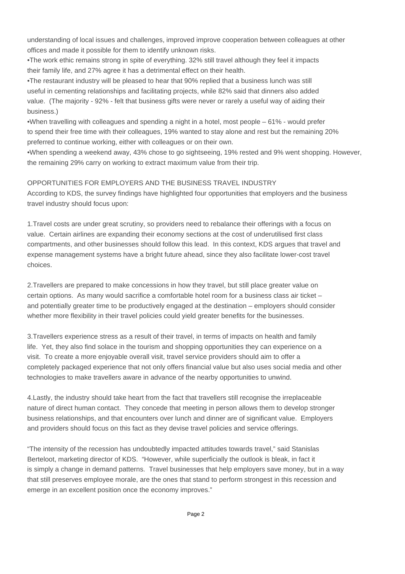understanding of local issues and challenges, improved improve cooperation between colleagues at other offices and made it possible for them to identify unknown risks.

• The work ethic remains strong in spite of everything. 32% still travel although they feel it impacts their family life, and 27% agree it has a detrimental effect on their health.

• The restaurant industry will be pleased to hear that 90% replied that a business lunch was still useful in cementing relationships and facilitating projects, while 82% said that dinners also added value. (The majority - 92% - felt that business gifts were never or rarely a useful way of aiding their business.)

• When travelling with colleagues and spending a night in a hotel, most people – 61% - would prefer to spend their free time with their colleagues, 19% wanted to stay alone and rest but the remaining 20% preferred to continue working, either with colleagues or on their own.

• When spending a weekend away, 43% chose to go sightseeing, 19% rested and 9% went shopping. However, the remaining 29% carry on working to extract maximum value from their trip.

### OPPORTUNITIES FOR EMPLOYERS AND THE BUSINESS TRAVEL INDUSTRY

According to KDS, the survey findings have highlighted four opportunities that employers and the business travel industry should focus upon:

1. Travel costs are under great scrutiny, so providers need to rebalance their offerings with a focus on value. Certain airlines are expanding their economy sections at the cost of underutilised first class compartments, and other businesses should follow this lead. In this context, KDS argues that travel and expense management systems have a bright future ahead, since they also facilitate lower-cost travel choices.

2. Travellers are prepared to make concessions in how they travel, but still place greater value on certain options. As many would sacrifice a comfortable hotel room for a business class air ticket – and potentially greater time to be productively engaged at the destination – employers should consider whether more flexibility in their travel policies could yield greater benefits for the businesses.

3. Travellers experience stress as a result of their travel, in terms of impacts on health and family life. Yet, they also find solace in the tourism and shopping opportunities they can experience on a visit. To create a more enjoyable overall visit, travel service providers should aim to offer a completely packaged experience that not only offers financial value but also uses social media and other technologies to make travellers aware in advance of the nearby opportunities to unwind.

4. Lastly, the industry should take heart from the fact that travellers still recognise the irreplaceable nature of direct human contact. They concede that meeting in person allows them to develop stronger business relationships, and that encounters over lunch and dinner are of significant value. Employers and providers should focus on this fact as they devise travel policies and service offerings.

"The intensity of the recession has undoubtedly impacted attitudes towards travel," said Stanislas Berteloot, marketing director of KDS. "However, while superficially the outlook is bleak, in fact it is simply a change in demand patterns. Travel businesses that help employers save money, but in a way that still preserves employee morale, are the ones that stand to perform strongest in this recession and emerge in an excellent position once the economy improves."